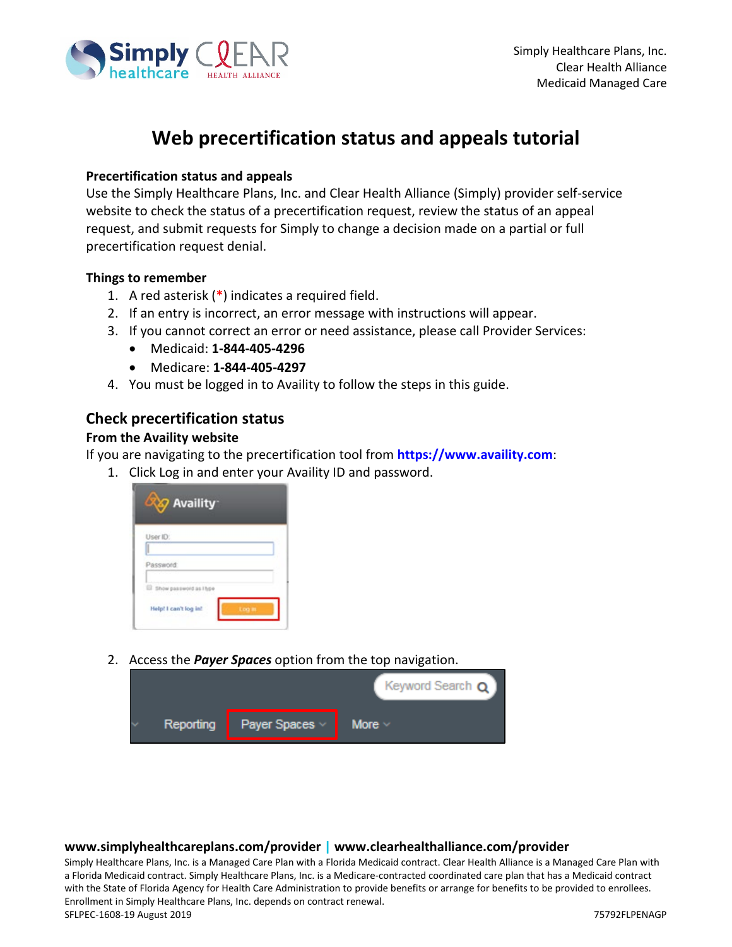

# **Web precertification status and appeals tutorial**

#### **Precertification status and appeals**

Use the Simply Healthcare Plans, Inc. and Clear Health Alliance (Simply) provider self-service website to check the status of a precertification request, review the status of an appeal request, and submit requests for Simply to change a decision made on a partial or full precertification request denial.

#### **Things to remember**

- 1. A red asterisk (**\***) indicates a required field.
- 2. If an entry is incorrect, an error message with instructions will appear.
- 3. If you cannot correct an error or need assistance, please call Provider Services:
	- Medicaid: **1-844-405-4296**
	- Medicare: **1-844-405-4297**
- 4. You must be logged in to Availity to follow the steps in this guide.

### **Check precertification status**

#### **From the Availity website**

If you are navigating to the precertification tool from **[https://www.availity.com](https://www.availity.com/)**:

1. Click Log in and enter your Availity ID and password.

| <b>XXX</b> Availity    |              |
|------------------------|--------------|
| User ID:<br>Π          |              |
| Password               |              |
| Show password as I hpe |              |
| Help! I can't log in!  | <b>Louis</b> |

2. Access the *Payer Spaces* option from the top navigation.



#### **www.simplyhealthcareplans.com/provider | www.clearhealthalliance.com/provider**

Simply Healthcare Plans, Inc. is a Managed Care Plan with a Florida Medicaid contract. Clear Health Alliance is a Managed Care Plan with a Florida Medicaid contract. Simply Healthcare Plans, Inc. is a Medicare-contracted coordinated care plan that has a Medicaid contract with the State of Florida Agency for Health Care Administration to provide benefits or arrange for benefits to be provided to enrollees. Enrollment in Simply Healthcare Plans, Inc. depends on contract renewal. SFLPEC-1608-19 August 2019 75792FLPENAGP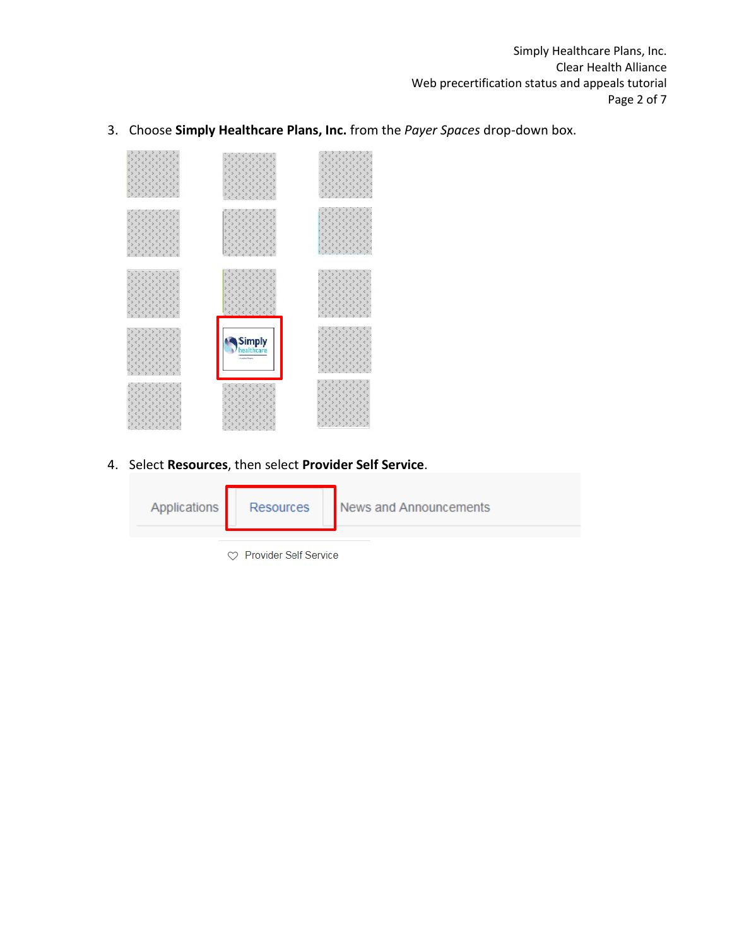Simply Healthcare Plans, Inc. Clear Health Alliance Web precertification status and appeals tutorial Page 2 of 7

3. Choose **Simply Healthcare Plans, Inc.** from the *Payer Spaces* drop-down box.



4. Select **Resources**, then select **Provider Self Service**.



♡ Provider Self Service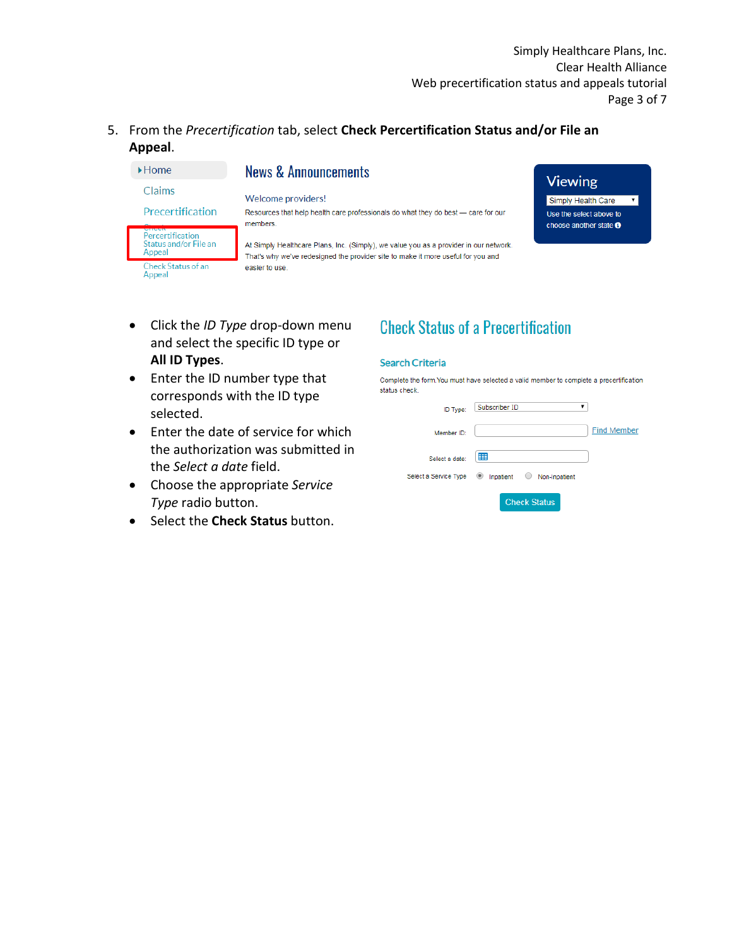Simply Healthcare Plans, Inc. Clear Health Alliance Web precertification status and appeals tutorial Page 3 of 7

### 5. From the *Precertification* tab, select **Check Percertification Status and/or File an Appeal**.

| $\blacktriangleright$ Home                                           | <b>News &amp; Announcements</b>                                                                                                                                           |                                                          |
|----------------------------------------------------------------------|---------------------------------------------------------------------------------------------------------------------------------------------------------------------------|----------------------------------------------------------|
| Claims                                                               | Welcome providers!                                                                                                                                                        | <b>Viewing</b>                                           |
|                                                                      |                                                                                                                                                                           | Simply Health Care                                       |
| Precertification                                                     | Resources that help health care professionals do what they do best - care for our<br>members.                                                                             | Use the select above to<br>choose another state $\Theta$ |
| <b>STIVER</b><br>Percertification<br>Status and/or File an<br>Appeal | At Simply Healthcare Plans, Inc. (Simply), we value you as a provider in our network.<br>That's why we've redesigned the provider site to make it more useful for you and |                                                          |
| <b>Check Status of an</b><br>Appeal                                  | easier to use.                                                                                                                                                            |                                                          |

- Click the *ID Type* drop-down menu and select the specific ID type or **All ID Types**.
- Enter the ID number type that corresponds with the ID type selected.
- Enter the date of service for which the authorization was submitted in the *Select a date* field.
- Choose the appropriate *Service Type* radio button.
- Select the **Check Status** button.

# **Check Status of a Precertification**

#### **Search Criteria**

Complete the form. You must have selected a valid member to complete a precertification status check.

| ID Type:              | Subscriber ID                         |                    |
|-----------------------|---------------------------------------|--------------------|
| Member ID:            |                                       | <b>Find Member</b> |
| Select a date:        | 噩                                     |                    |
| Select a Service Type | Inpatient<br>Non-Inpatient<br>$\circ$ |                    |
|                       | <b>Check Status</b>                   |                    |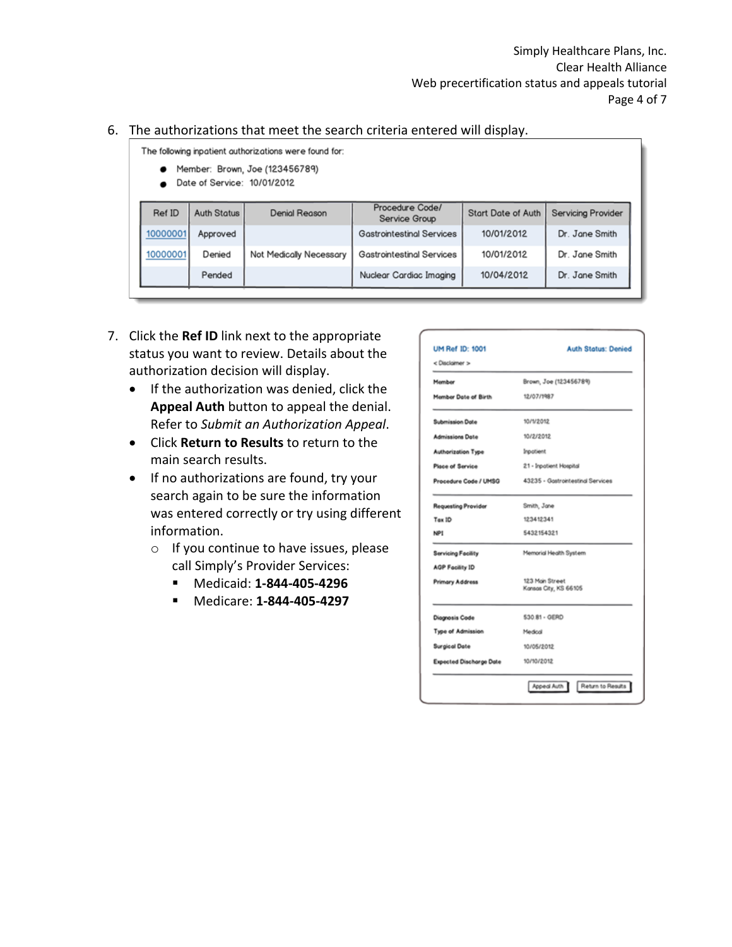#### 6. The authorizations that meet the search criteria entered will display.

The following inpatient authorizations were found for:

- Member: Brown, Joe (123456789)
- Date of Service: 10/01/2012

| Ref ID   | <b>Auth Status</b> | Denial Reason           | Procedure Code/<br>Service Group | <b>Start Date of Auth</b> | <b>Servicing Provider</b> |
|----------|--------------------|-------------------------|----------------------------------|---------------------------|---------------------------|
| 10000001 | Approved           |                         | Gastrointestinal Services        | 10/01/2012                | Dr. Jane Smith            |
| 10000001 | Denied             | Not Medically Necessary | <b>Gastrointestinal Services</b> | 10/01/2012                | Dr. Jane Smith            |
|          | Pended             |                         | Nuclear Cardiac Imaging          | 10/04/2012                | Dr. Jane Smith            |

- 7. Click the **Ref ID** link next to the appropriate status you want to review. Details about the authorization decision will display.
	- If the authorization was denied, click the **Appeal Auth** button to appeal the denial. Refer to *Submit an Authorization Appeal*.
	- Click **Return to Results** to return to the main search results.
	- If no authorizations are found, try your search again to be sure the information was entered correctly or try using different information.
		- o If you continue to have issues, please call Simply's Provider Services:
			- Medicaid: **1-844-405-4296**
			- Medicare: **1-844-405-4297**

| <b>UM Ref ID: 1001</b><br>< Disclaimer > | <b>Auth Status: Denied</b>               |
|------------------------------------------|------------------------------------------|
| Member                                   | Brown, Joe (123456789)                   |
| Member Date of Birth                     | 12/07/1987                               |
| <b>Submission Date</b>                   | 10/1/2012                                |
| <b>Admissions Dote</b>                   | 10/2/2012                                |
| <b>Authorization Type</b>                | <b>Inpotient</b>                         |
| Place of Service                         | 21 - Inpotient Hospital                  |
| Procedure Code / UMSG                    | 43235 - Gostrointestinal Services        |
| <b>Requesting Provider</b>               | Smith, Jane                              |
| Tax ID                                   | 123412341                                |
| NP1                                      | 5432154321                               |
| Servicing Facility                       | Memorial Health System                   |
| <b>AGP Facility ID</b>                   |                                          |
| Primary Address                          | 123 Main Street<br>Kansas City, KS 66105 |
| Diagnosis Code                           | 530.81 - GERD                            |
| Type of Admission                        | Medical                                  |
| <b>Surgical Date</b>                     | 10/05/2012                               |
| <b>Expected Discharge Date</b>           | 10/10/2012                               |
|                                          | Return to Results<br>Appeal Auth         |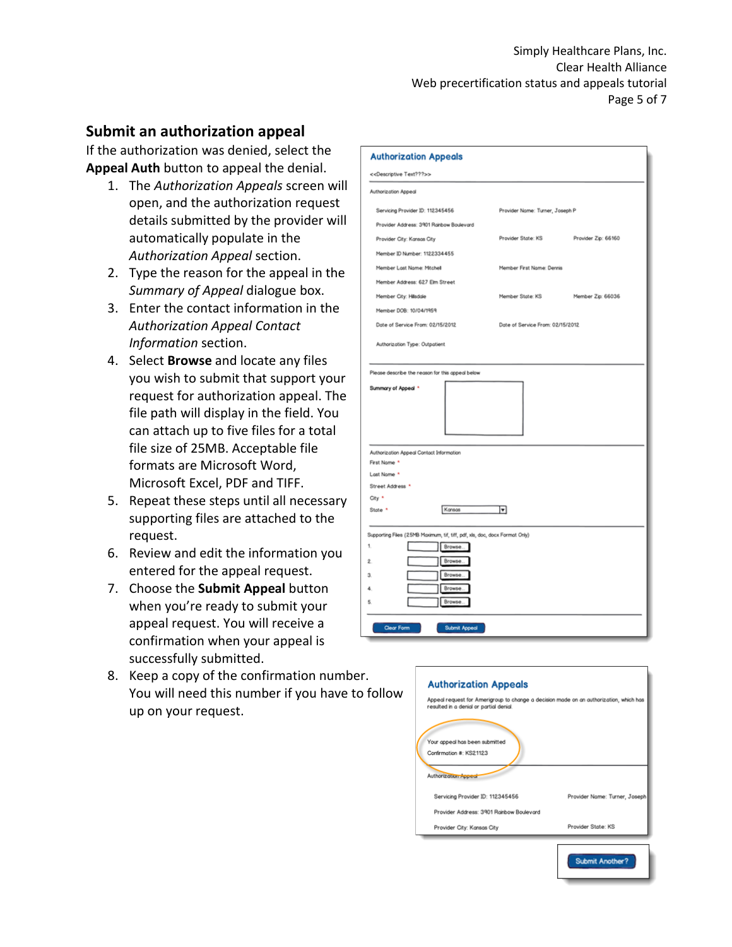## **Submit an authorization appeal**

If the authorization was denied, select the **Appeal Auth** button to appeal the denial.

- 1. The *Authorization Appeals* screen will open, and the authorization request details submitted by the provider will automatically populate in the *Authorization Appeal* section.
- 2. Type the reason for the appeal in the *Summary of Appeal* dialogue box.
- 3. Enter the contact information in the *Authorization Appeal Contact Information* section.
- 4. Select **Browse** and locate any files you wish to submit that support your request for authorization appeal. The file path will display in the field. You can attach up to five files for a total file size of 25MB. Acceptable file formats are Microsoft Word, Microsoft Excel, PDF and TIFF.
- 5. Repeat these steps until all necessary supporting files are attached to the request.
- 6. Review and edit the information you entered for the appeal request.
- 7. Choose the **Submit Appeal** button when you're ready to submit your appeal request. You will receive a confirmation when your appeal is successfully submitted.
- 8. Keep a copy of the confirmation number. You will need this number if you have to follow up on your request.

| <b>Authorization Appeals</b>                                                |                                  |                     |
|-----------------------------------------------------------------------------|----------------------------------|---------------------|
| < <descriptive text???="">&gt;</descriptive>                                |                                  |                     |
| Authorization Appeal                                                        |                                  |                     |
| Servicing Provider ID: 112345456                                            | Provider Name: Turner, Joseph P  |                     |
| Provider Address: 3901 Rainbow Boulevard                                    |                                  |                     |
| Provider City: Kansas City                                                  | Provider State: KS               | Provider Zip: 66160 |
| Member ID Number: 1122334455                                                |                                  |                     |
| Member Last Name: Mitchell                                                  | Member First Name: Dennis        |                     |
| Member Address: 627 Elm Street                                              |                                  |                     |
| Member City: Hillsdale                                                      | Member State: KS                 | Member Zip: 66036   |
| Member DOB: 10/04/1959                                                      |                                  |                     |
| Date of Service From: 02/15/2012                                            | Date of Service From: 02/15/2012 |                     |
| Authorization Type: Outpatient                                              |                                  |                     |
|                                                                             |                                  |                     |
| Please describe the reason for this appeal below                            |                                  |                     |
| Summary of Appeal *                                                         |                                  |                     |
|                                                                             |                                  |                     |
|                                                                             |                                  |                     |
|                                                                             |                                  |                     |
|                                                                             |                                  |                     |
| Authorization Appeal Contact Information<br>First Name *                    |                                  |                     |
| Last Name *                                                                 |                                  |                     |
| Street Address *                                                            |                                  |                     |
| City *                                                                      |                                  |                     |
| Kansas<br>State *                                                           | ⊓                                |                     |
| Supporting Files (25MB Maximum, tif, tiff, pdf, xls, doc, docx Format Only) |                                  |                     |
| 1.<br>Browse.                                                               |                                  |                     |
| Browse.<br>2.                                                               |                                  |                     |
| Browse<br>З.                                                                |                                  |                     |
| Browse.<br>۵                                                                |                                  |                     |
| Browse<br>5                                                                 |                                  |                     |
|                                                                             |                                  |                     |
| Clear Form<br>Submit Appeal                                                 |                                  |                     |

|                                                                                   | Appeal request for Amerigroup to change a decision made on an authorization, which has |
|-----------------------------------------------------------------------------------|----------------------------------------------------------------------------------------|
| resulted in a denial or partial denial.                                           |                                                                                        |
| Your appeal has been submitted<br>Confirmation #: KS21123<br>Authorization Appeal |                                                                                        |
| Servicing Provider ID: 112345456                                                  | Provider Name: Turner, Joseph                                                          |
| Provider Address: 3901 Rojnbow Boulevard                                          |                                                                                        |
|                                                                                   |                                                                                        |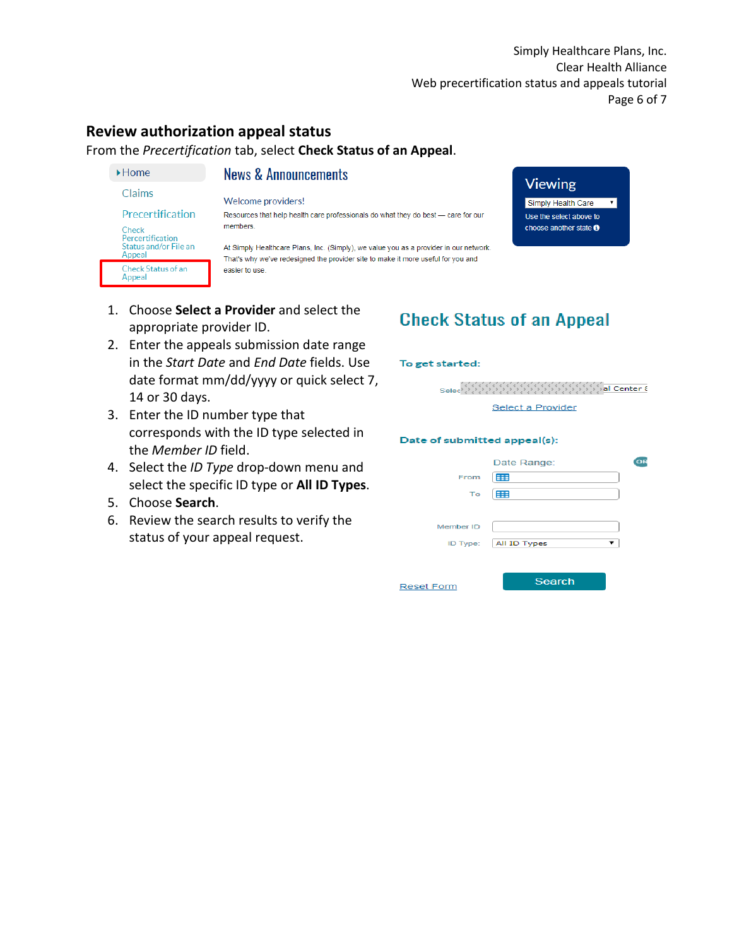**Viewing** 

Simply Health Care

Use the select above to

choose another state <sup>O</sup>

 $\overline{\mathbf{r}}$ 

## **Review authorization appeal status**

 $\blacktriangleright$  Home

Check

Appeal

Appeal

Claims

Precertification

Percertification<br>Status and/or File an

Check Status of an

From the *Precertification* tab, select **Check Status of an Appeal**.

### **News & Announcements**

Welcome providers!

Resources that help health care professionals do what they do best - care for our members.

At Simply Healthcare Plans, Inc. (Simply), we value you as a provider in our network. That's why we've redesigned the provider site to make it more useful for you and easier to use.

- 1. Choose **Select a Provider** and select the appropriate provider ID.
- 2. Enter the appeals submission date range in the *Start Date* and *End Date* fields. Use date format mm/dd/yyyy or quick select 7, 14 or 30 days.
- 3. Enter the ID number type that corresponds with the ID type selected in the *Member ID* field.
- 4. Select the *ID Type* drop-down menu and select the specific ID type or **All ID Types**.
- 5. Choose **Search**.
- 6. Review the search results to verify the status of your appeal request.

# **Check Status of an Appeal**

#### To get started:



#### Date of submitted appeal(s):

|           | Date Range:             |  |
|-----------|-------------------------|--|
| From      | 窜                       |  |
| To        | 罪                       |  |
|           |                         |  |
| Member ID |                         |  |
|           | ID Type:   All ID Types |  |
|           |                         |  |
|           |                         |  |

**Reset Form** 

Search